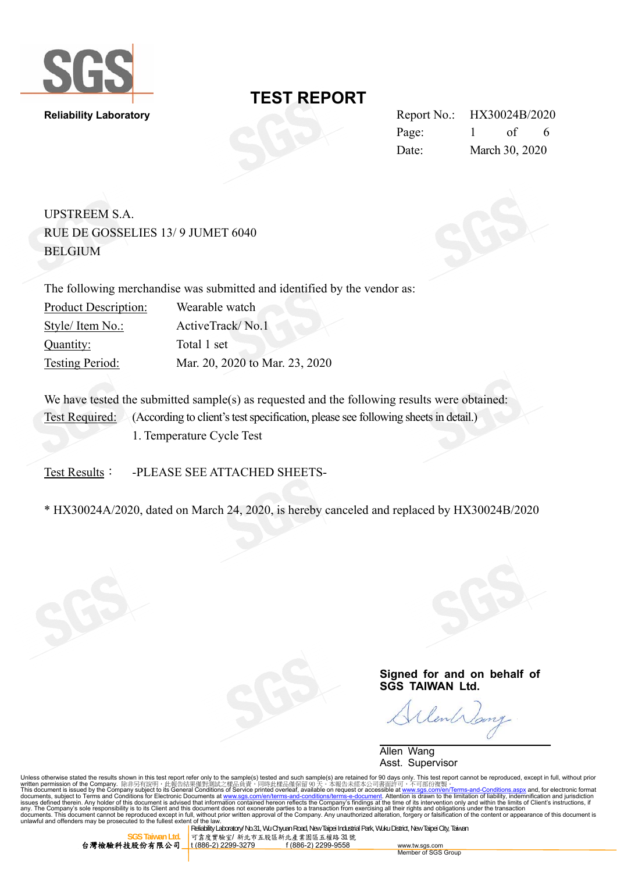

**Reliability Laboratory** Report No.: HX30024B/2020 Page: 1 of 6 Date: March 30, 2020

UPSTREEM S.A. RUE DE GOSSELIES 13/ 9 JUMET 6040 BELGIUM

The following merchandise was submitted and identified by the vendor as: Product Description: Wearable watch Style/ Item No.: ActiveTrack/ No.1 Quantity: Total 1 set Testing Period: Mar. 20, 2020 to Mar. 23, 2020

We have tested the submitted sample(s) as requested and the following results were obtained: Test Required: (According to client's test specification, please see following sheets in detail.) 1. Temperature Cycle Test

Test Results: - PLEASE SEE ATTACHED SHEETS-

\* HX30024A/2020, dated on March 24, 2020, is hereby canceled and replaced by HX30024B/2020

**Signed for and on behalf of SGS TAIWAN Ltd.** 

lent

 Allen Wang Asst. Supervisor

Unless otherwise stated the results shown in this test report refer only to the sample(s) tested and such sample(s) are retained for 90 days only. This test report cannot be reproduced, except in full, without prior<br>writt This document is issued by the Company subject to its General Conditions of Service printed overleaf, available on request or accessible at <u>www.sgs.com/en/Terms-and-Conditions.aspx</u> and, for electronic format<br>documents, s

台灣檢驗科技股份有限公司

Reliability Laboratory/ No.31, Wu Chyuan Road, New Taipei Industrial Park, Wuku District, New Taipei City, Taiwan 。<br>T. T. **康實驗室/ 新北市五股區新北產業園區五權路 31 號**<br>1 (886-2) 2299-3279 f (886-2) 2299-9558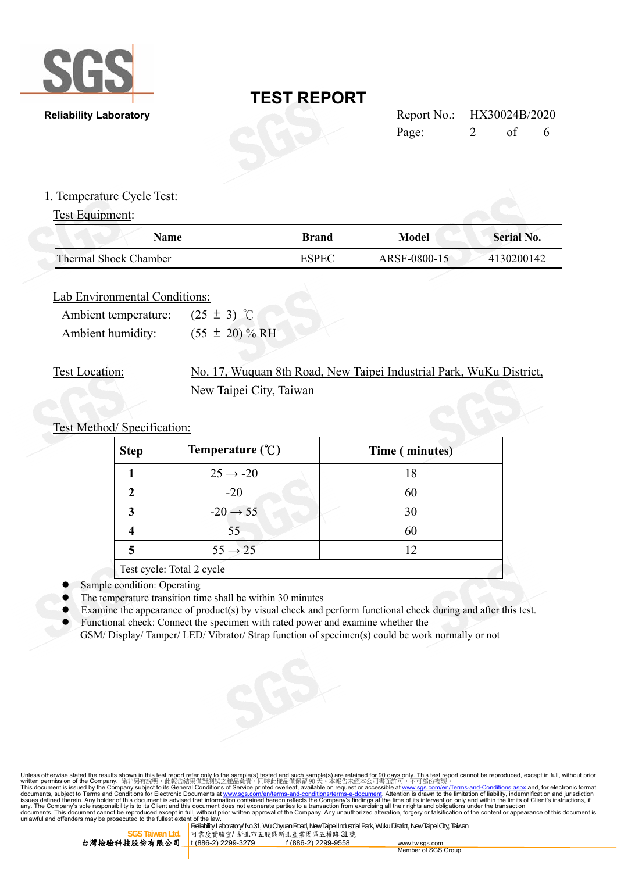

|       | Report No.: HX30024B/2020 |    |   |
|-------|---------------------------|----|---|
| Page: |                           | of | 6 |

## **Reliability Laboratory**

### 1. Temperature Cycle Test:

## Test Equipment:

| Name                  | <b>Brand</b> | Model        | <b>Serial No.</b> |
|-----------------------|--------------|--------------|-------------------|
| Thermal Shock Chamber | $\sqrt{3}$   | ARSF-0800-15 | 4130200142        |

### Lab Environmental Conditions:

| Ambient temperature: | $(25 \pm 3)$ °C     |
|----------------------|---------------------|
| Ambient humidity:    | $(55 \pm 20) \% RH$ |

## Test Location: No. 17, Wuquan 8th Road, New Taipei Industrial Park, WuKu District, New Taipei City, Taiwan

## Test Method/ Specification:

| <b>Step</b> | Temperature $(\mathcal{C})$ | Time (minutes) |
|-------------|-----------------------------|----------------|
|             | $25 \rightarrow -20$        | 18             |
| 2           | $-20$                       | 60             |
| 3           | $-20 \rightarrow 55$        | 30             |
| 4           | 55                          |                |
| 5           | $55 \rightarrow 25$         | 12             |
|             | Test cycle: Total 2 cycle   |                |

- Sample condition: Operating
- The temperature transition time shall be within 30 minutes
- Examine the appearance of product(s) by visual check and perform functional check during and after this test.
- Functional check: Connect the specimen with rated power and examine whether the GSM/ Display/ Tamper/ LED/ Vibrator/ Strap function of specimen(s) could be work normally or not

Unless otherwise stated the results shown in this test report refer only to the sample(s) tested and such sample(s) are retained for 90 days only. This test report cannot be reproduced, except in full, without prior writt



Reliability Laboratory/ No.31, Wu Chyuan Road, New Taipei Industrial Park, Wuku District, New Taipei City, Taiwan 可靠度實驗室/ 新北市五股區新北產業園區五權路 31 號<br><mark>t (886-2) 2299-3279</mark> f (886-2) 2299-9558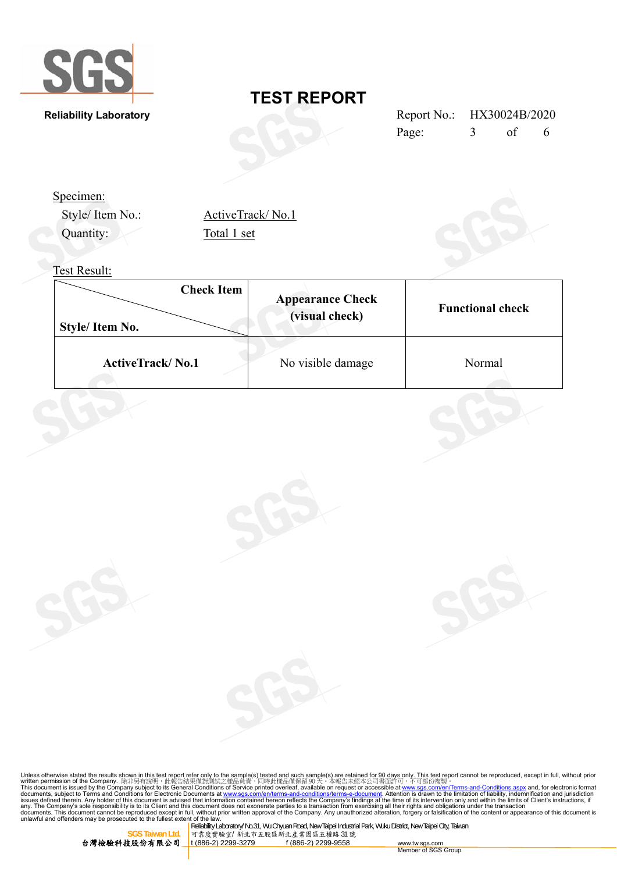

**Reliability Laboratory** 

Style/ Item No.:

# **TEST REPORT**

| Report No.: HX30024B/2020 |    |   |
|---------------------------|----|---|
| Page:                     | of | 6 |

Specimen:

| ActiveTrack/No.1 |
|------------------|
| Total 1 set      |

## Test Result:

Quantity:

| <b>Check Item</b><br>Style/ Item No. | <b>Appearance Check</b><br>(visual check) | <b>Functional check</b> |
|--------------------------------------|-------------------------------------------|-------------------------|
| <b>ActiveTrack/No.1</b>              | No visible damage                         | Normal                  |

Unless otherwise stated the results shown in this test report refer only to the sample(s) tested and such sample(s) are retained for 90 days only. This test report cannot be reproduced, except in full, without prior writt



nou de discussion on the Meliability Laboratory/ No.31, Wu Chyuan Road, New Taipei Industrial Park, Wuku District, New Taipei City, Taiwan SGS Taiwan Lide | Reliability Laboratory/ No.31, Wu Chyuan Road, New Taipei Indus **SGS TAIWAN LATTLE AND TAIWAN LATTLE AND TAIWAN LATTLE TAIWAN LATTLE TAIWAN 1999**<br> **TAIWAN LEGGS** TAIWAN 1999-9279 f (886-2) 2299-9558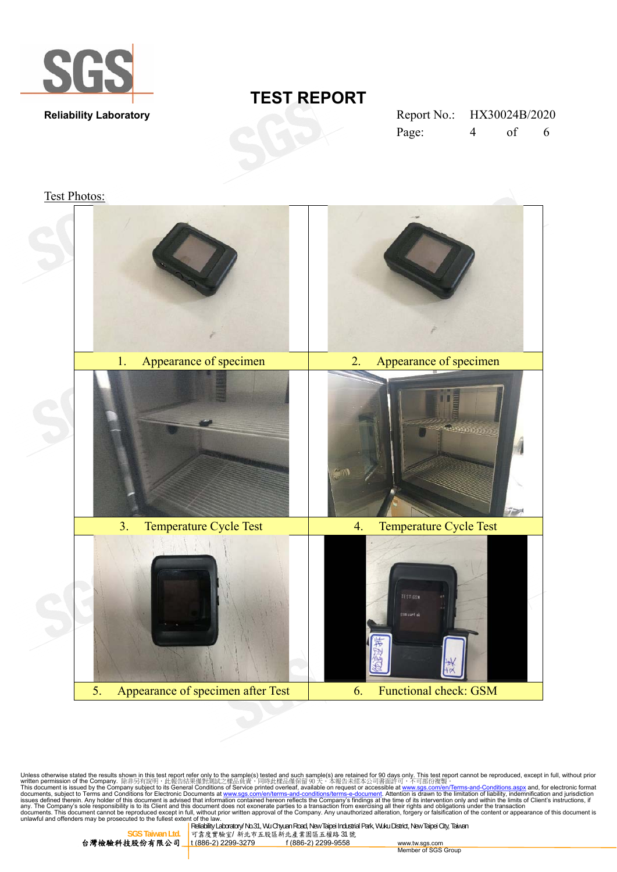

| Report No.: |   | HX30024B/2020 |   |
|-------------|---|---------------|---|
| Page:       | 4 | of            | 6 |

Test Photos:



Unless otherwise stated the results shown in this test report refer only to the sample(s) tested and such sample(s) are retained for 90 days only. This test report cannot be reproduced, except in full, without prior<br>writte



**SGS Taiwan Ltd.** 可靠度實驗室/ 新北市五股區新北產業園區五權路 31 號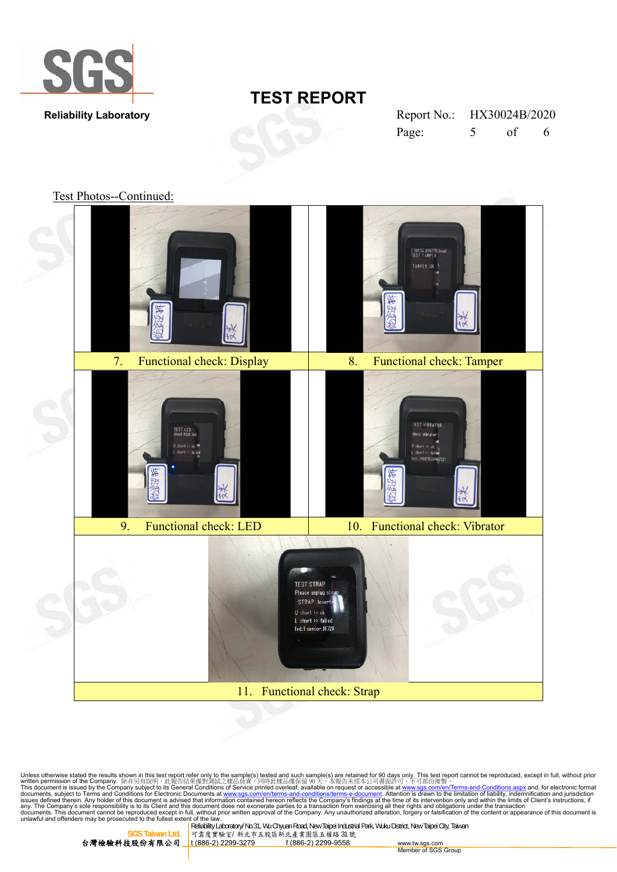

| Report No.: HX30024B/2020 |                          |    |   |
|---------------------------|--------------------------|----|---|
| Page:                     | $\overline{\mathcal{L}}$ | of | 6 |

Test Photos--Continued:



Unless otherwise stated the results shown in this test report refer only to the sample(s) tested and such sample(s) are retained for 90 days only. This test report cannot be reproduced, except in full, without prior<br>writte

**SGS Taiwan Ltd.** 可靠度實驗室/ 新北市五股區新北產業園區五權路 31 號